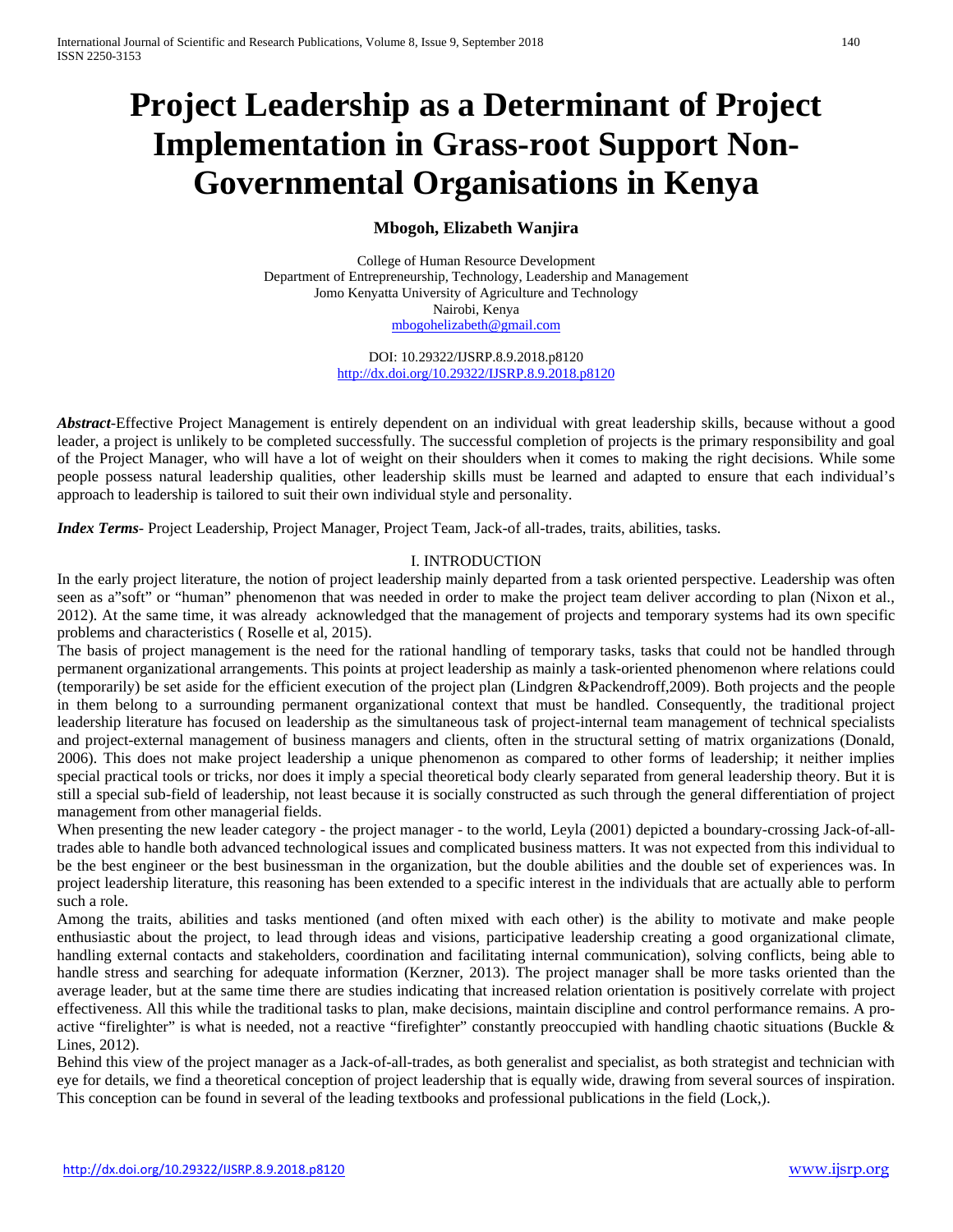# **Project Leadership as a Determinant of Project Implementation in Grass-root Support Non-Governmental Organisations in Kenya**

# **Mbogoh, Elizabeth Wanjira**

College of Human Resource Development Department of Entrepreneurship, Technology, Leadership and Management Jomo Kenyatta University of Agriculture and Technology Nairobi, Kenya [mbogohelizabeth@gmail.com](mailto:mbogohelizabeth@gmail.com)

> DOI: 10.29322/IJSRP.8.9.2018.p8120 <http://dx.doi.org/10.29322/IJSRP.8.9.2018.p8120>

*Abstract*-Effective Project Management is entirely dependent on an individual with [great leadership skills,](https://aboutleaders.com/Top-10-Leadership-Skills-of-Great-Leaders) because without a good leader, a project is unlikely to be completed successfully. The successful completion of projects is the primary responsibility and goal of the Project Manager, who will have a lot of weight on their shoulders when it comes to making the right decisions. While some people possess natural leadership qualities, other leadership skills must be learned and adapted to ensure that each individual's approach to leadership is tailored to suit their own individual style and personality.

*Index Terms*- Project Leadership, Project Manager, Project Team, Jack-of all-trades, traits, abilities, tasks.

# I. INTRODUCTION

In the early project literature, the notion of project leadership mainly departed from a task oriented perspective. Leadership was often seen as a"soft" or "human" phenomenon that was needed in order to make the project team deliver according to plan (Nixon et al., 2012). At the same time, it was already acknowledged that the management of projects and temporary systems had its own specific problems and characteristics ( Roselle et al, 2015).

The basis of project management is the need for the rational handling of temporary tasks, tasks that could not be handled through permanent organizational arrangements. This points at project leadership as mainly a task-oriented phenomenon where relations could (temporarily) be set aside for the efficient execution of the project plan (Lindgren &Packendroff,2009). Both projects and the people in them belong to a surrounding permanent organizational context that must be handled. Consequently, the traditional project leadership literature has focused on leadership as the simultaneous task of project-internal team management of technical specialists and project-external management of business managers and clients, often in the structural setting of matrix organizations (Donald, 2006). This does not make project leadership a unique phenomenon as compared to other forms of leadership; it neither implies special practical tools or tricks, nor does it imply a special theoretical body clearly separated from general leadership theory. But it is still a special sub-field of leadership, not least because it is socially constructed as such through the general differentiation of project management from other managerial fields.

When presenting the new leader category - the project manager - to the world, Leyla (2001) depicted a boundary-crossing Jack-of-alltrades able to handle both advanced technological issues and complicated business matters. It was not expected from this individual to be the best engineer or the best businessman in the organization, but the double abilities and the double set of experiences was. In project leadership literature, this reasoning has been extended to a specific interest in the individuals that are actually able to perform such a role.

Among the traits, abilities and tasks mentioned (and often mixed with each other) is the ability to motivate and make people enthusiastic about the project, to lead through ideas and visions, participative leadership creating a good organizational climate, handling external contacts and stakeholders, coordination and facilitating internal communication), solving conflicts, being able to handle stress and searching for adequate information (Kerzner, 2013). The project manager shall be more tasks oriented than the average leader, but at the same time there are studies indicating that increased relation orientation is positively correlate with project effectiveness. All this while the traditional tasks to plan, make decisions, maintain discipline and control performance remains. A proactive "firelighter" is what is needed, not a reactive "firefighter" constantly preoccupied with handling chaotic situations (Buckle & Lines, 2012).

Behind this view of the project manager as a Jack-of-all-trades, as both generalist and specialist, as both strategist and technician with eye for details, we find a theoretical conception of project leadership that is equally wide, drawing from several sources of inspiration. This conception can be found in several of the leading textbooks and professional publications in the field (Lock,).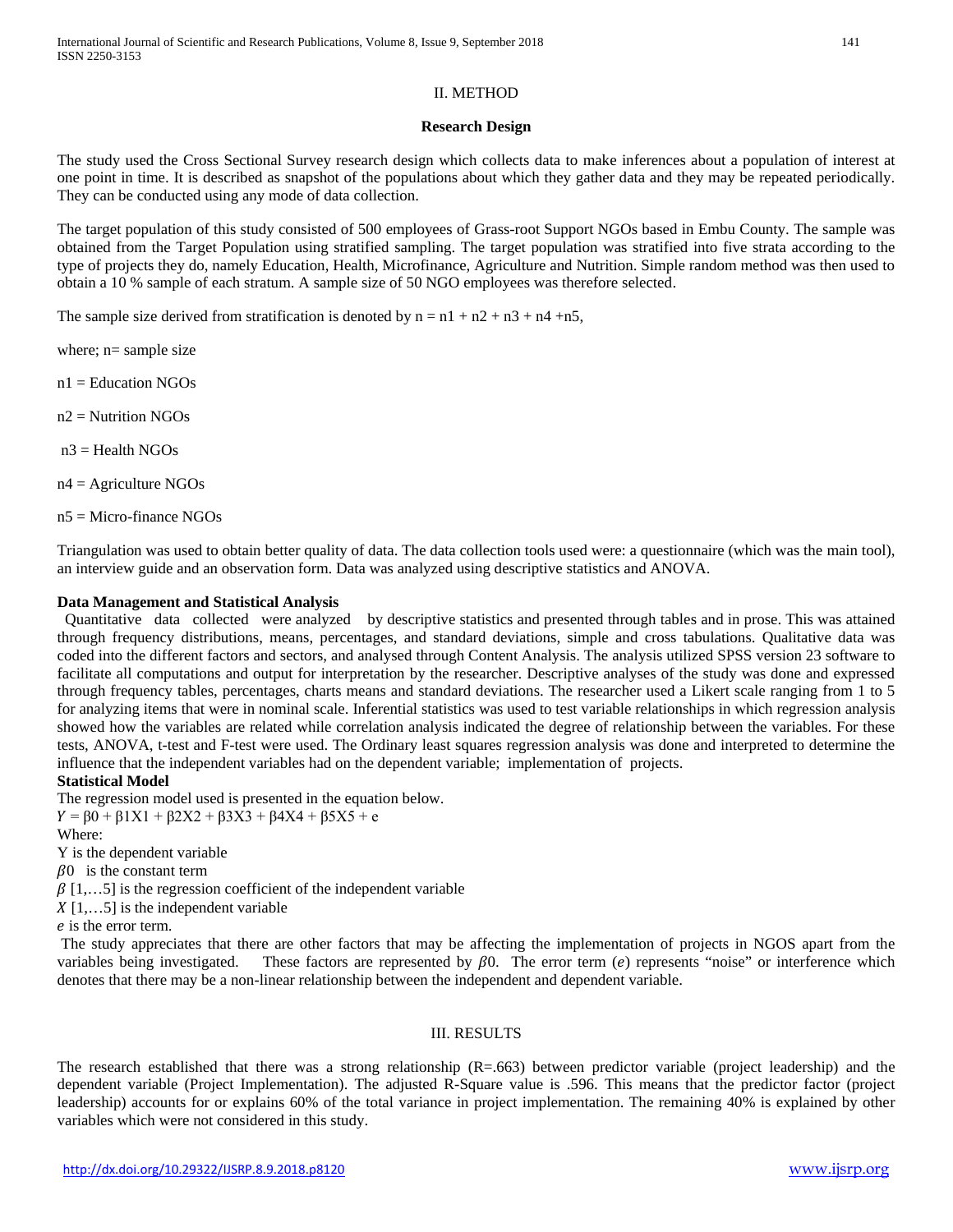## II. METHOD

## **Research Design**

The study used the Cross Sectional Survey research design which collects data to make inferences about a population of interest at one point in time. It is described as snapshot of the populations about which they gather data and they may be repeated periodically. They can be conducted using any mode of data collection.

The target population of this study consisted of 500 employees of Grass-root Support NGOs based in Embu County. The sample was obtained from the Target Population using stratified sampling. The target population was stratified into five strata according to the type of projects they do, namely Education, Health, Microfinance, Agriculture and Nutrition. Simple random method was then used to obtain a 10 % sample of each stratum. A sample size of 50 NGO employees was therefore selected.

The sample size derived from stratification is denoted by  $n = n1 + n2 + n3 + n4 + n5$ ,

where; n= sample size

 $n1 =$ Education NGOs

n2 = Nutrition NGOs

 $n3$  = Health NGOs

 $n4 =$  Agriculture NGOs

n5 = Micro-finance NGOs

Triangulation was used to obtain better quality of data. The data collection tools used were: a questionnaire (which was the main tool), an interview guide and an observation form. Data was analyzed using descriptive statistics and ANOVA.

## **Data Management and Statistical Analysis**

 Quantitative data collected were analyzed by descriptive statistics and presented through tables and in prose. This was attained through frequency distributions, means, percentages, and standard deviations, simple and cross tabulations. Qualitative data was coded into the different factors and sectors, and analysed through Content Analysis. The analysis utilized SPSS version 23 software to facilitate all computations and output for interpretation by the researcher. Descriptive analyses of the study was done and expressed through frequency tables, percentages, charts means and standard deviations. The researcher used a Likert scale ranging from 1 to 5 for analyzing items that were in nominal scale. Inferential statistics was used to test variable relationships in which regression analysis showed how the variables are related while correlation analysis indicated the degree of relationship between the variables. For these tests, ANOVA, t-test and F-test were used. The Ordinary least squares regression analysis was done and interpreted to determine the influence that the independent variables had on the dependent variable; implementation of projects.

## **Statistical Model**

The regression model used is presented in the equation below.  $Y = \beta 0 + \beta 1X1 + \beta 2X2 + \beta 3X3 + \beta 4X4 + \beta 5X5 + e$ 

Where:

Y is the dependent variable

 $\beta$ <sup>0</sup> is the constant term

 $\beta$  [1,...5] is the regression coefficient of the independent variable

 $X[1,...5]$  is the independent variable

 $e$  is the error term.

The study appreciates that there are other factors that may be affecting the implementation of projects in NGOS apart from the variables being investigated. These factors are represented by  $\beta$ . The error term (e) represents "noise" or interference which denotes that there may be a non-linear relationship between the independent and dependent variable.

#### III. RESULTS

The research established that there was a strong relationship  $(R=0.663)$  between predictor variable (project leadership) and the dependent variable (Project Implementation). The adjusted R-Square value is .596. This means that the predictor factor (project leadership) accounts for or explains 60% of the total variance in project implementation. The remaining 40% is explained by other variables which were not considered in this study.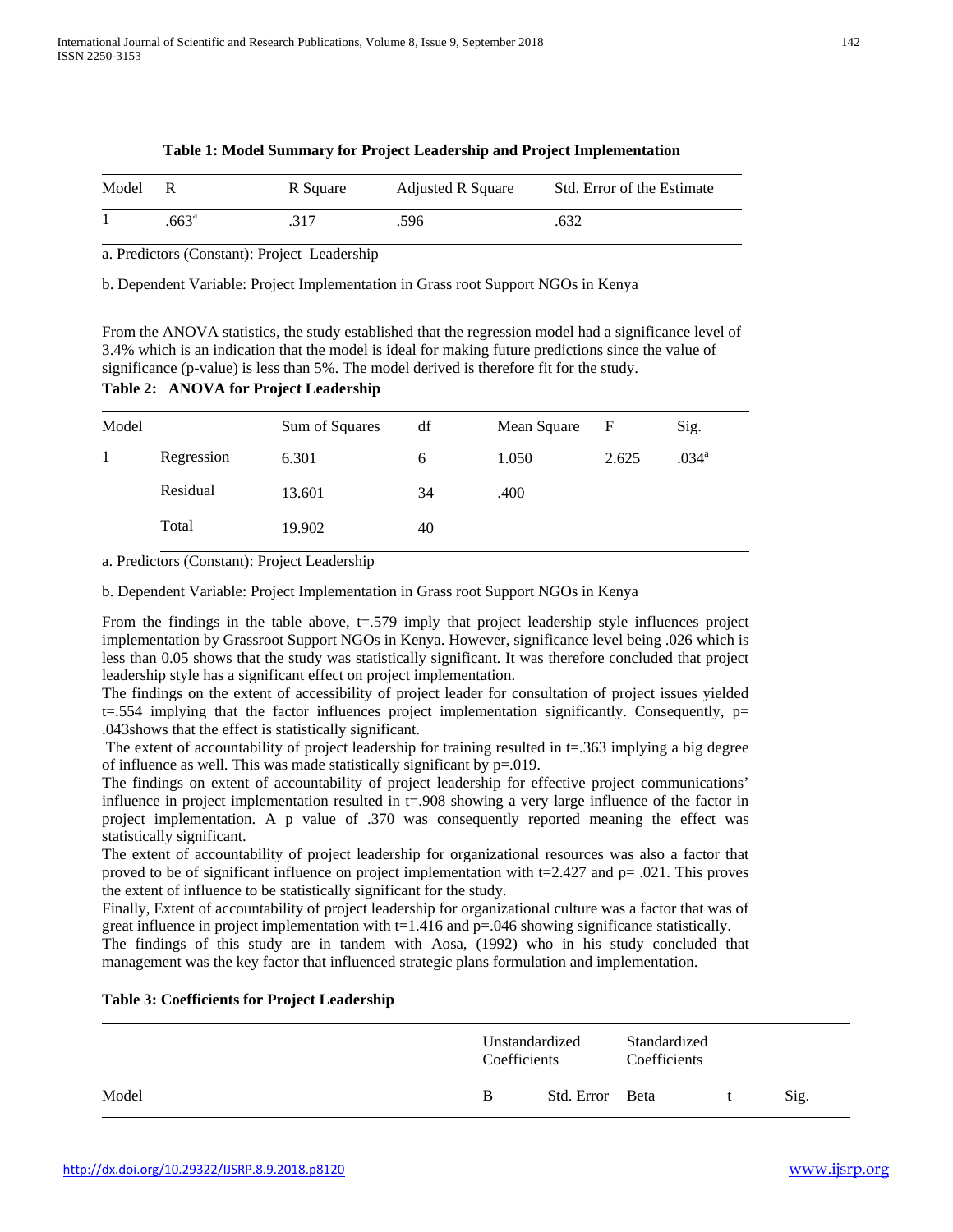| Model | - R            | R Square | Adjusted R Square | Std. Error of the Estimate |
|-------|----------------|----------|-------------------|----------------------------|
|       | $.663^{\circ}$ | .317     | .596              | .632                       |

#### **Table 1: Model Summary for Project Leadership and Project Implementation**

a. Predictors (Constant): Project Leadership

b. Dependent Variable: Project Implementation in Grass root Support NGOs in Kenya

From the ANOVA statistics, the study established that the regression model had a significance level of 3.4% which is an indication that the model is ideal for making future predictions since the value of significance (p-value) is less than 5%. The model derived is therefore fit for the study.

# **Table 2: ANOVA for Project Leadership**

| Model |            | Sum of Squares | df | Mean Square | F     | Sig.              |
|-------|------------|----------------|----|-------------|-------|-------------------|
|       | Regression | 6.301          | h  | 1.050       | 2.625 | .034 <sup>a</sup> |
|       | Residual   | 13.601         | 34 | .400        |       |                   |
|       | Total      | 19.902         | 40 |             |       |                   |

a. Predictors (Constant): Project Leadership

b. Dependent Variable: Project Implementation in Grass root Support NGOs in Kenya

From the findings in the table above, t=.579 imply that project leadership style influences project implementation by Grassroot Support NGOs in Kenya. However, significance level being .026 which is less than 0.05 shows that the study was statistically significant. It was therefore concluded that project leadership style has a significant effect on project implementation.

The findings on the extent of accessibility of project leader for consultation of project issues yielded  $t=0.554$  implying that the factor influences project implementation significantly. Consequently,  $p=$ .043shows that the effect is statistically significant.

The extent of accountability of project leadership for training resulted in t=.363 implying a big degree of influence as well. This was made statistically significant by p=.019.

The findings on extent of accountability of project leadership for effective project communications' influence in project implementation resulted in  $t = .908$  showing a very large influence of the factor in project implementation. A p value of .370 was consequently reported meaning the effect was statistically significant.

The extent of accountability of project leadership for organizational resources was also a factor that proved to be of significant influence on project implementation with t=2.427 and p= .021. This proves the extent of influence to be statistically significant for the study.

Finally, Extent of accountability of project leadership for organizational culture was a factor that was of great influence in project implementation with  $t=1.416$  and  $p=.046$  showing significance statistically.

The findings of this study are in tandem with Aosa, (1992) who in his study concluded that management was the key factor that influenced strategic plans formulation and implementation.

#### **Table 3: Coefficients for Project Leadership**

|       | Unstandardized<br>Coefficients |                 | Standardized<br>Coefficients |   |      |
|-------|--------------------------------|-----------------|------------------------------|---|------|
| Model | <sup>B</sup>                   | Std. Error Beta |                              | t | Sig. |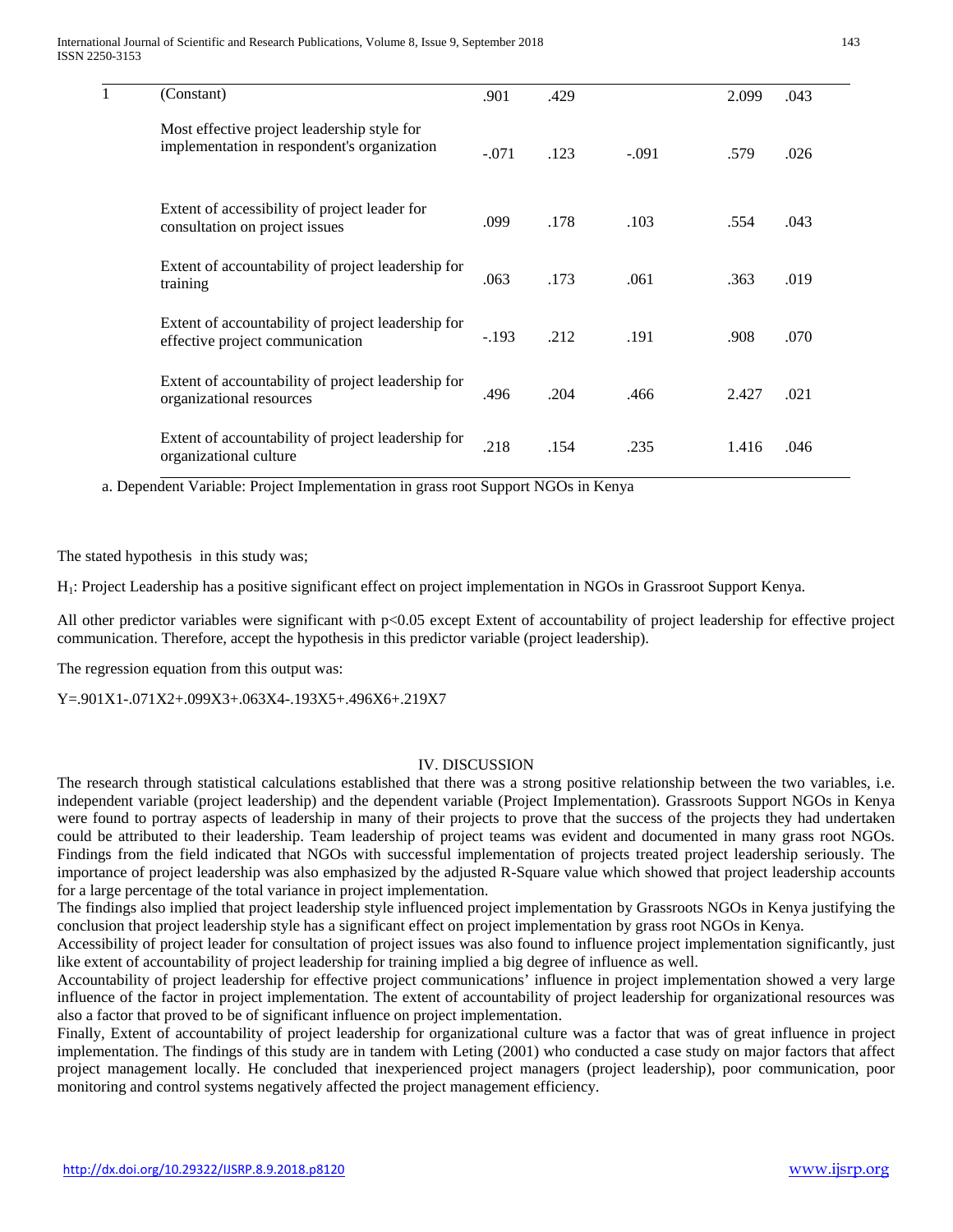| 1 | (Constant)                                                                                 | .901    | .429 |         | 2.099 | .043 |
|---|--------------------------------------------------------------------------------------------|---------|------|---------|-------|------|
|   | Most effective project leadership style for<br>implementation in respondent's organization | $-.071$ | .123 | $-.091$ | .579  | .026 |
|   | Extent of accessibility of project leader for<br>consultation on project issues            | .099    | .178 | .103    | .554  | .043 |
|   | Extent of accountability of project leadership for<br>training                             | .063    | .173 | .061    | .363  | .019 |
|   | Extent of accountability of project leadership for<br>effective project communication      | $-.193$ | .212 | .191    | .908  | .070 |
|   | Extent of accountability of project leadership for<br>organizational resources             | .496    | .204 | .466    | 2.427 | .021 |
|   | Extent of accountability of project leadership for<br>organizational culture               | .218    | .154 | .235    | 1.416 | .046 |

a. Dependent Variable: Project Implementation in grass root Support NGOs in Kenya

The stated hypothesis in this study was;

H1: Project Leadership has a positive significant effect on project implementation in NGOs in Grassroot Support Kenya.

All other predictor variables were significant with p<0.05 except Extent of accountability of project leadership for effective project communication. Therefore, accept the hypothesis in this predictor variable (project leadership).

The regression equation from this output was:

Y=.901X1-.071X2+.099X3+.063X4-.193X5+.496X6+.219X7

#### IV. DISCUSSION

The research through statistical calculations established that there was a strong positive relationship between the two variables, i.e. independent variable (project leadership) and the dependent variable (Project Implementation). Grassroots Support NGOs in Kenya were found to portray aspects of leadership in many of their projects to prove that the success of the projects they had undertaken could be attributed to their leadership. Team leadership of project teams was evident and documented in many grass root NGOs. Findings from the field indicated that NGOs with successful implementation of projects treated project leadership seriously. The importance of project leadership was also emphasized by the adjusted R-Square value which showed that project leadership accounts for a large percentage of the total variance in project implementation.

The findings also implied that project leadership style influenced project implementation by Grassroots NGOs in Kenya justifying the conclusion that project leadership style has a significant effect on project implementation by grass root NGOs in Kenya.

Accessibility of project leader for consultation of project issues was also found to influence project implementation significantly, just like extent of accountability of project leadership for training implied a big degree of influence as well.

Accountability of project leadership for effective project communications' influence in project implementation showed a very large influence of the factor in project implementation. The extent of accountability of project leadership for organizational resources was also a factor that proved to be of significant influence on project implementation.

Finally, Extent of accountability of project leadership for organizational culture was a factor that was of great influence in project implementation. The findings of this study are in tandem with Leting (2001) who conducted a case study on major factors that affect project management locally. He concluded that inexperienced project managers (project leadership), poor communication, poor monitoring and control systems negatively affected the project management efficiency.